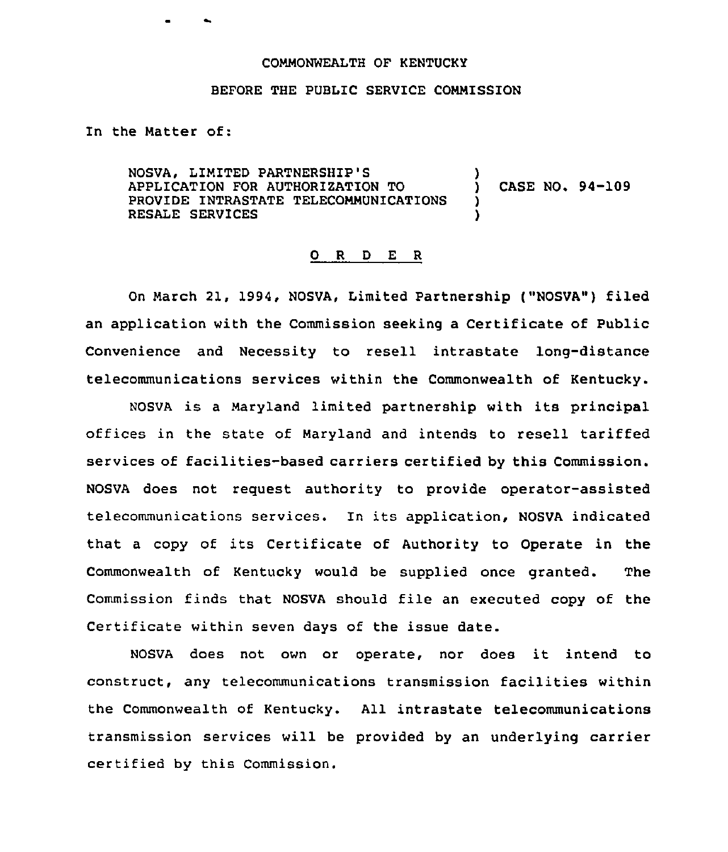## COMMONWEALTH OF KENTUCKY

## BEFORE THE PUBLIC SERVICE COMMISSION

In the Matter of:

NOSVA, LIMITED PARTNERSHIP'S APPLICATION FOR AUTHORIZATION TO PROVIDE INTRASTATE TELECOMMUNICATIONS RESALE SERVICES ) ) CASE NO. 94-109 ) )

## 0 R <sup>D</sup> E <sup>R</sup>

On March 21, 1994, NOSVA, Limited Partnership ("NOSVA") filed an application with the Commission seeking a Certificate of Public Convenience and Necessity to resell intrastate long-distance telecommunications services within the Commonwealth of Kentucky.

NOSVA is <sup>a</sup> Maryland limited partnership with its principal offices in the state of Maryland and intends to resell tariffed services of facilities-based carriers certified by this Commission. NOSVA does not request authority to provide operator-assisted telecommunications services. In its application, NOSVA indicated that <sup>a</sup> copy of its Certificate of Authority to Operate in the Commonwealth of Kentucky would be supplied once granted. The Commission finds that NOSVA should file an executed copy of the Certificate within seven days of the issue date.

NOSVA does not own or operate, nor does it intend to construct, any telecommunications transmission facilities within the Commonwealth of Kentucky. All intrastate telecommunications transmission services will be provided by an underlying carrier certified by this Commission.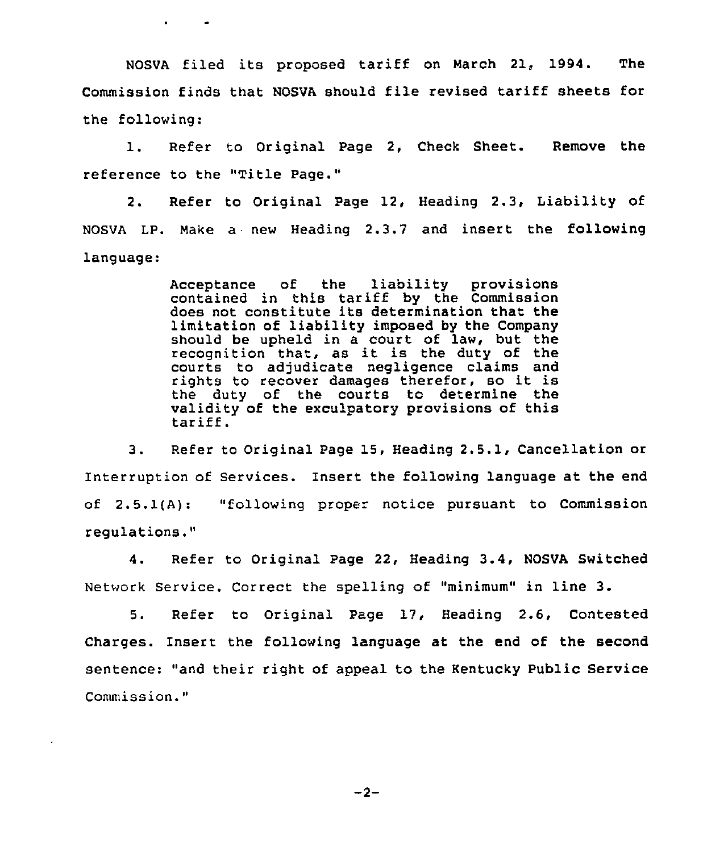NOSVA filed its proposed tariff on March 21, 1994. The Commission finds that NOSVA should file revised tariff sheets for the following:

1. Refer to Original Page 2, Check Sheet. Remove the reference to the "Title Page."

2. Refer to Original Page 12, Heading 2.3, Liability of NOSVA LP. Make <sup>a</sup> new Heading 2.3.7 and insert the following language:

> Acceptance of the liability provisions contained in this tariff by the Commission does not constitute its determination that the limitation of liability imposed by the Company should be upheld in a court of law, but the recognition that, as it is the duty of the courts to adjudicate negligence claims and rights to recover damages therefor, so it is the duty of the courts to determine the validity of the exculpatory provisions of this tariff.

3. Refer to Original Page 15, Beading 2.5.1, Cancellation or Interruption of Services. Insert the following language at the end of 2.5.1(A): "following proper notice pursuant to Commission regulations."

4. Refer to Original Page 22, Heading 3.4, NOSVA Switched Network Service. Correct the spelling of "minimum" in line 3.

5. Refer to Original Page 17, Heading 2.6, Contested Charges. Insert the following language at the end of the second sentence: "and their right of appeal to the Kentucky Public Service Commission."

 $-2-$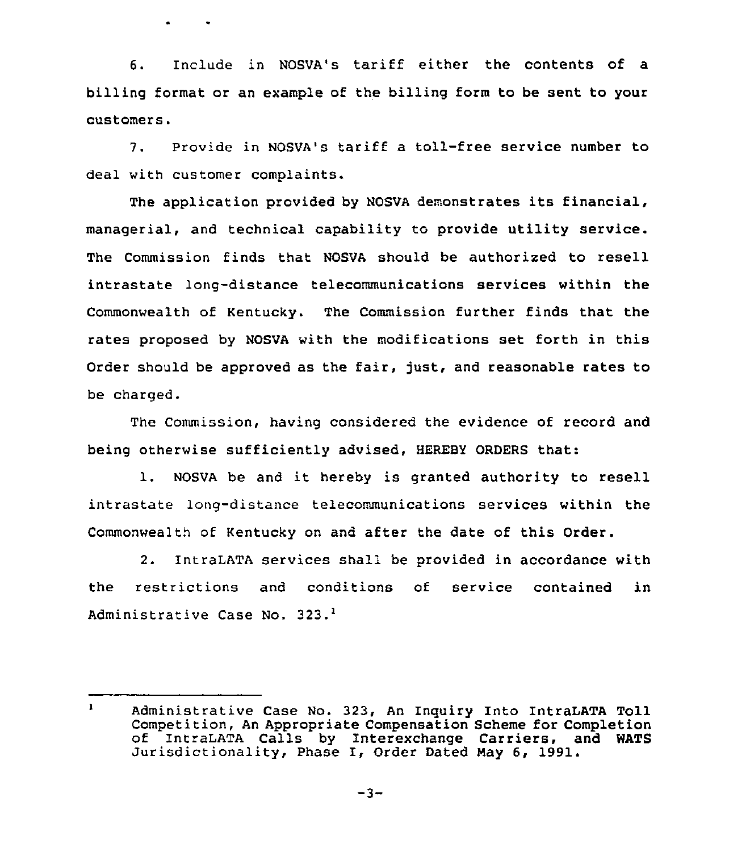6. Include in NOSVA's tariff either the contents of a billing format or an example of the billing form to be sent to your customers.

7. Provide in NOSVA's tariff a toll-free service number to deal with customer complaints.

The application provided by NOSVA demonstrates its financial, managerial, and technical capability to provide utility service. The Commission finds that NOSVA should be authorized to resell intrastate long-distance telecommunications services within the Commonwealth of Kentucky. The Commission further finds that the rates proposed by NOSVA with the modifications set forth in this Order should be approved as the fair, just, and reasonable rates to be charged.

The Commission, having considered the evidence of record and being otherwise sufficiently advised, BEREBY ORDERS that:

1. NOSVA be and it hereby is granted authority to resell intrastate long-distance telecommunications services within the Commonwealth of Kentucky on and after the date of this Order.

2. IntraLATA services shall be provided in accordance with the restrictions and conditions of service contained in Administrative Case No. 323.<sup>1</sup>

 $\mathbf{1}$ Administrative Case No. 323, An Inquiry Into IntraLATA Toll Competition, An Appropriate Compensation Scheme for Completion of IntraLATA Calls by Interexchange Carriers, and WATS Jurisdictionality, Phase I, Order Dated Nay 6, 1991.